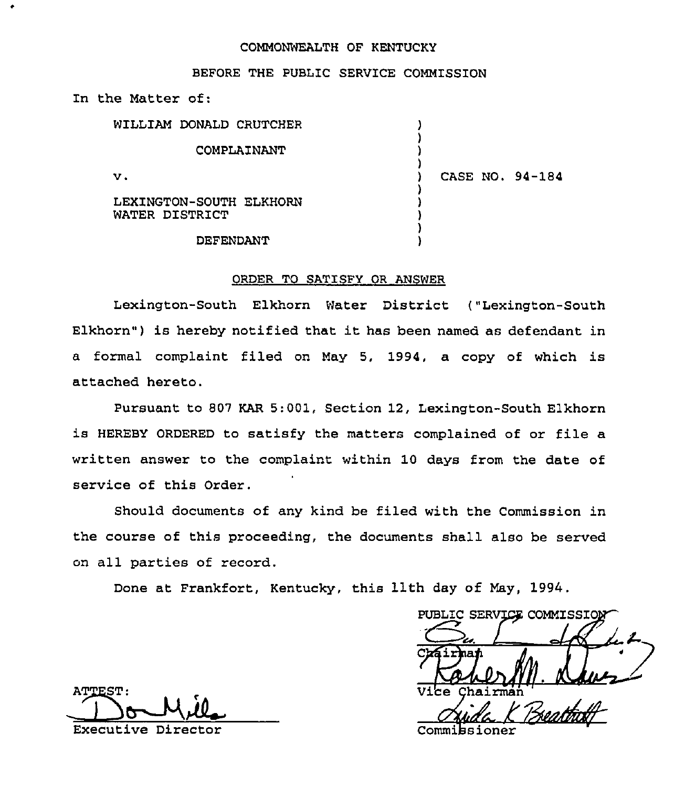#### COMMONWEALTH OF KENTUCKY

### BEFORE THE PUBLIC SERVICE COMMISSION

In the Matter of:

| WILLIAM DONALD CRUTCHER                   |                 |
|-------------------------------------------|-----------------|
| COMPLAINANT                               |                 |
| v.                                        | CASE NO. 94-184 |
| LEXINGTON-SOUTH ELKHORN<br>WATER DISTRICT |                 |
| <b>DEFENDANT</b>                          |                 |

#### ORDER TO SATISFY OR ANSWER

Lexington-South Elkhorn Water District ("Lexington-South Elkhorn") is hereby notified that it has been named as defendant in a formal complaint filed on May 5, 1994, a copy of which is attached hereto.

Pursuant to 807 KAR 5:001, Section 12, Lexington-South Elkhorn is HEREBY ORDERED to satisfy the matters complained of or file a written answer to the complaint within 10 days from the date of service of this Order.

Should documents of any kind be filed with the Commission in the course of this proceeding, the documents shall also be served on all parties of record.

Done at Frankfort, Kentucky, this 11th day of May, 1994.

PUBLIC SERVICE COMMISSION Chairman

ATTEST: Executive Director  $\sim$  Commitsioner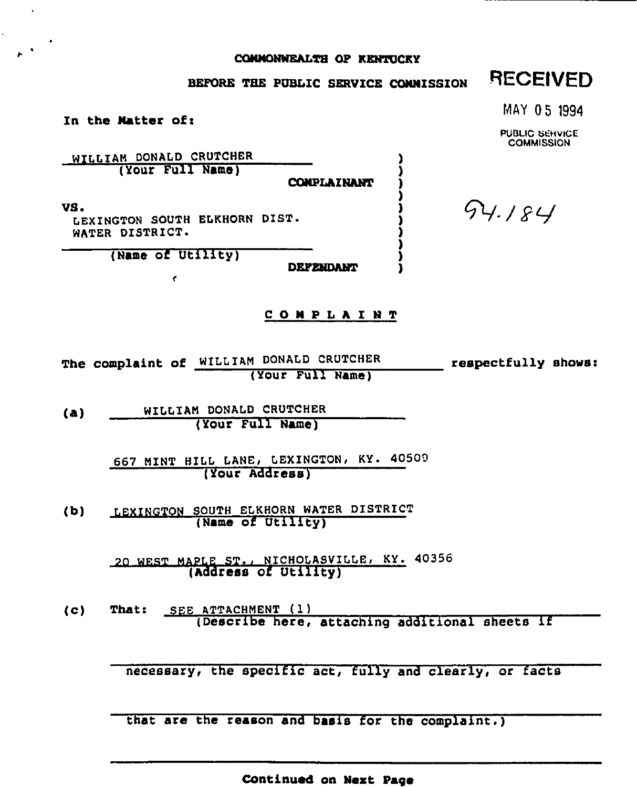### COMMONWEALTH OF KENTUCKY

## BEFORE THE PUBLIC SERVICE COMMISSION

# **RECEIVED**

MAY 05 1994

PUBLIC SEHVICE **COMMISSION** 

In the Matter of:

WILLIAM DONALD CRUTCHER (Your Full Name)

COMPLAINANT

ı

VS.

LEXINGTON SOUTH ELKHORN DIST. WATER DISTRICT.

(Name of Utility)

 $\epsilon$ 

**DEFENDANT** 

#### **COMPLAINT**

The complaint of WILLIAM DONALD CRUTCHER respectfully shows: (Your Full Name)

WILLIAM DONALD CRUTCHER  $(a)$ (Your Full Name)

> 667 MINT HILL LANE, LEXINGTON, KY. 40509 (Your Address)

LEXINGTON SOUTH ELKHORN WATER DISTRICT  $(b)$ (Name of Utility)

> 20 WEST MAPLE ST., NICHOLASVILLE, KY. 40356 (Address of Utility)

SEE ATTACHMENT (1)  $(c)$ That: (Describe here, attaching additional sheets if

necessary, the specific act, fully and clearly, or facts

that are the reason and basis for the complaint.)

Continued on Next Page

94.184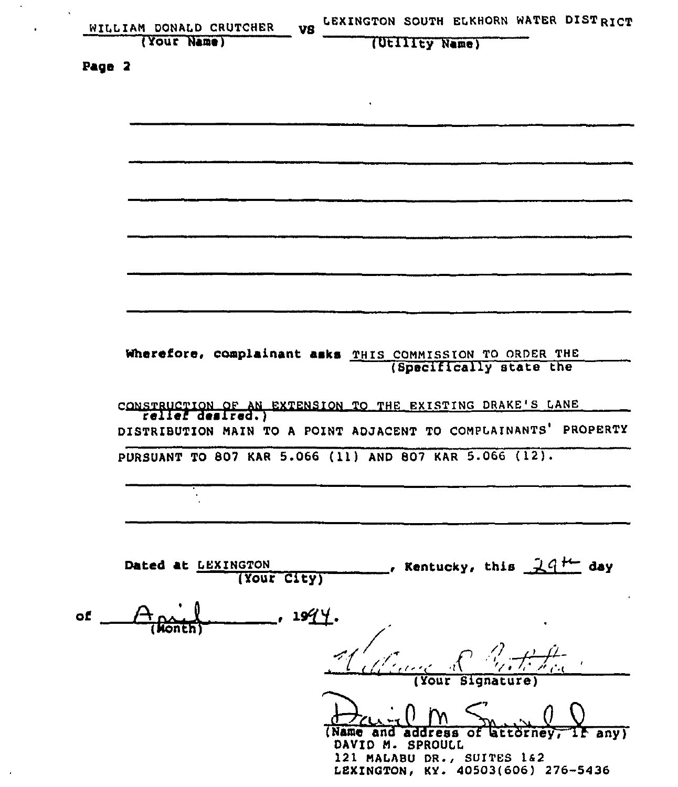| WILLIAM DONALD CRUTCHER           | LEXINGTON SOUTH ELKHORN WATER DISTRICT<br>VS                    |
|-----------------------------------|-----------------------------------------------------------------|
| (Your Name)                       | (Utility Name)                                                  |
| Page 2                            |                                                                 |
|                                   |                                                                 |
|                                   |                                                                 |
|                                   |                                                                 |
|                                   |                                                                 |
|                                   |                                                                 |
|                                   |                                                                 |
|                                   |                                                                 |
|                                   |                                                                 |
|                                   |                                                                 |
|                                   |                                                                 |
|                                   |                                                                 |
|                                   |                                                                 |
|                                   | Wherefore, complainant asks THIS COMMISSION TO ORDER THE        |
|                                   | (Specifically state the                                         |
|                                   |                                                                 |
|                                   | CONSTRUCTION OF AN EXTENSION TO THE EXISTING DRAKE'S LANE       |
|                                   | DISTRIBUTION MAIN TO A POINT ADJACENT TO COMPLAINANTS' PROPERTY |
|                                   | PURSUANT TO 807 KAR 5.066 (11) AND 807 KAR 5.066 (12).          |
|                                   |                                                                 |
|                                   |                                                                 |
|                                   |                                                                 |
|                                   |                                                                 |
| Dated at LEXINGTON<br>(Your City) | , Kentucky, this $-24$ <sup>+<math>-</math></sup> day           |
|                                   |                                                                 |
| of                                | <u>1994.</u>                                                    |
|                                   |                                                                 |
|                                   |                                                                 |
|                                   |                                                                 |
|                                   |                                                                 |
|                                   |                                                                 |
|                                   | (Name and address                                               |
|                                   | OF.<br>DAVID M. SPROULL                                         |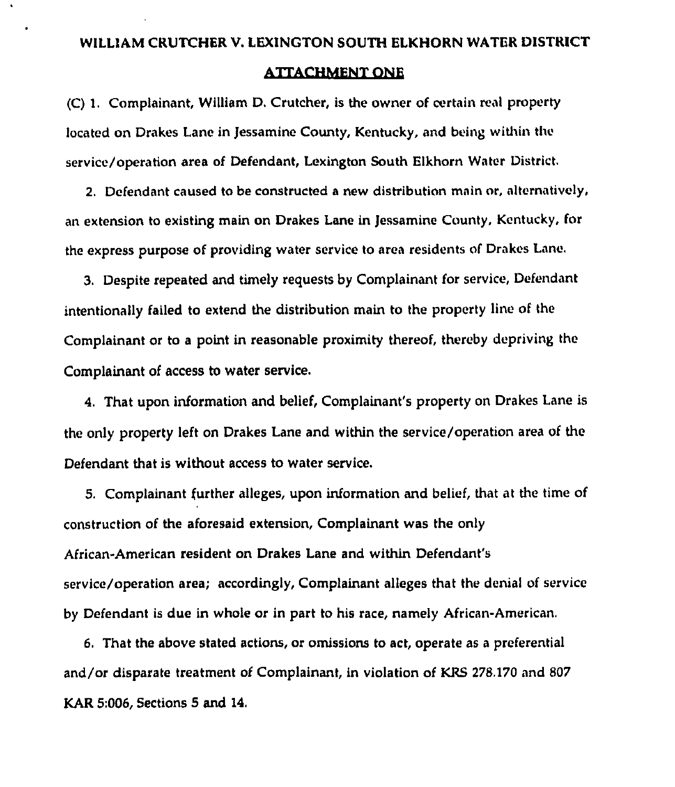# ATTACHMENT ONE

(C) 1. Complainant, William D. Crutcher, is the owner of certain real property located on Drakes Lane in Jessamine County, Kentucky, and being within the service/operation area of Defendant, Lexington South Elkhorn Water District.

2. Defendant caused to be constructed a new distribution main or, alternatively, an extension to existing main on Drakes Lane in Jessamine County, Kentucky, for the express purpose of providing water service to area residents of Drakes Lane,

3, Despite repeated and timely requests by Complainant for service, Defendant intentionally failed to extend the distribution main to the property line of the Complainant or to a point in reasonable proximity thereof, thereby depriving the Complainant of access to water service.

4, That upon information and belief, Complainant's property on Drakes Lane is the only property left on Drakes Lane and within the service/operation area of the Defendant that is without access to water service.

5. Complainant further alleges, upon information and belief, that at the time of construction of the aforesaid extension, Complainant was the only African-American resident on Drakes Lane and within Defendant's service/operation area; accordingly, Complainant alleges that the denial of service by Defendant is due in whole or in part to his race, namely African-American.

6. That the above stated actions, or omissions to act, operate as a preferential and/or disparate treatment of Complainant, in violation of KRS 278.170 and 807 KAR 5:006, Sections 5 and 14,